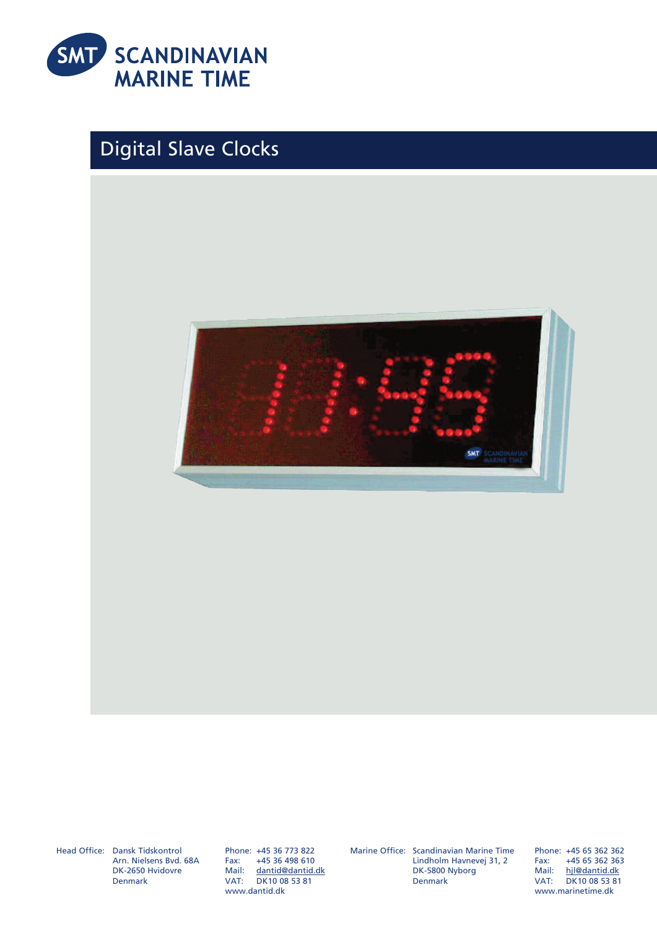

## Digital Slave Clocks



Head Office: Dansk Tidskontrol Arn. Nielsens Bvd. 68A DK-2650 Hvidovre Denmark

Phone: +45 36 773 822 Fax: +45 36 498 610 Mail: dantid@dantid.dk VAT: DK10 08 53 81 www.dantid.dk

Marine Office: Scandinavian Marine Time

Lindholm Havnevej 31, 2 DK-5800 Nyborg Denmark

Phone: +45 65 362 362<br>Fax: +45 65 362 363 Fax: +45 65 362 363 hjl@dantid.dk VAT: DK10 08 53 81 www.marinetime.dk